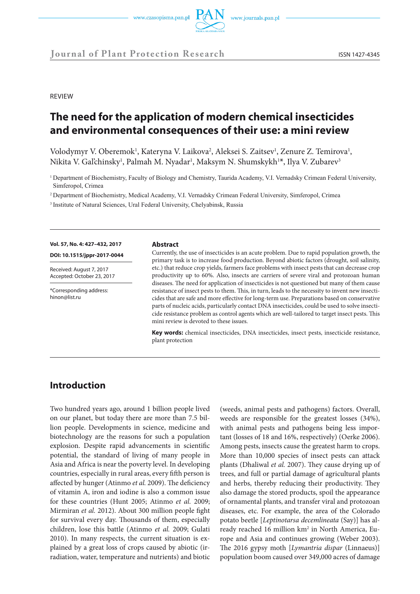

**REVIEW** 

# **The need for the application of modern chemical insecticides and environmental consequences of their use: a mini review**

Volodymyr V. Oberemok<sup>1</sup>, Kateryna V. Laikova<sup>2</sup>, Aleksei S. Zaitsev<sup>1</sup>, Zenure Z. Temirova<sup>1</sup>, Nikita V. Gal'chinsky<sup>1</sup>, Palmah M. Nyadar<sup>1</sup>, Maksym N. Shumskykh<sup>1</sup>\*, Ilya V. Zubarev<sup>3</sup>

<sup>1</sup> Department of Biochemistry, Faculty of Biology and Chemistry, Taurida Academy, V.I. Vernadsky Crimean Federal University, Simferopol, Crimea

<sup>2</sup> Department of Biochemistry, Medical Academy, V.I. Vernadsky Crimean Federal University, Simferopol, Crimea

<sup>3</sup> Institute of Natural Sciences, Ural Federal University, Chelyabinsk, Russia

**Vol. 57, No. 4: 427–432, 2017** 

**DOI: 10.1515/jppr-2017-0044**

Received: August 7, 2017 Accepted: October 23, 2017

\*Corresponding address: hinon@list.ru

#### **Abstract**

Currently, the use of insecticides is an acute problem. Due to rapid population growth, the primary task is to increase food production. Beyond abiotic factors (drought, soil salinity, etc.) that reduce crop yields, farmers face problems with insect pests that can decrease crop productivity up to 60%. Also, insects are carriers of severe viral and protozoan human diseases. The need for application of insecticides is not questioned but many of them cause resistance of insect pests to them. This, in turn, leads to the necessity to invent new insecticides that are safe and more effective for long-term use. Preparations based on conservative parts of nucleic acids, particularly contact DNA insecticides, could be used to solve insecticide resistance problem as control agents which are well-tailored to target insect pests. This mini review is devoted to these issues.

**Key words:** chemical insecticides, DNA insecticides, insect pests, insecticide resistance, plant protection

# **Introduction**

Two hundred years ago, around 1 billion people lived on our planet, but today there are more than 7.5 billion people. Developments in science, medicine and biotechnology are the reasons for such a population explosion. Despite rapid advancements in scientific potential, the standard of living of many people in Asia and Africa is near the poverty level. In developing countries, especially in rural areas, every fifth person is affected by hunger (Atinmo *et al.* 2009). The deficiency of vitamin A, iron and iodine is also a common issue for these countries (Hunt 2005; Atinmo *et al.* 2009; Mirmiran *et al.* 2012). About 300 million people fight for survival every day. Thousands of them, especially children, lose this battle (Atinmo *et al.* 2009; Gulati 2010). In many respects, the current situation is explained by a great loss of crops caused by abiotic (irradiation, water, temperature and nutrients) and biotic

(weeds, animal pests and pathogens) factors. Overall, weeds are responsible for the greatest losses (34%), with animal pests and pathogens being less important (losses of 18 and 16%, respectively) (Oerke 2006). Among pests, insects cause the greatest harm to crops. More than 10,000 species of insect pests can attack plants (Dhaliwal *et al.* 2007). They cause drying up of trees, and full or partial damage of agricultural plants and herbs, thereby reducing their productivity. They also damage the stored products, spoil the appearance of ornamental plants, and transfer viral and protozoan diseases, etc. For example, the area of the Colorado potato beetle [*Leptinotarsa decemlineata* (Say)] has already reached 16 million km<sup>2</sup> in North America, Europe and Asia and continues growing (Weber 2003). The 2016 gypsy moth [*Lymantria dispar* (Linnaeus)] population boom caused over 349,000 acres of damage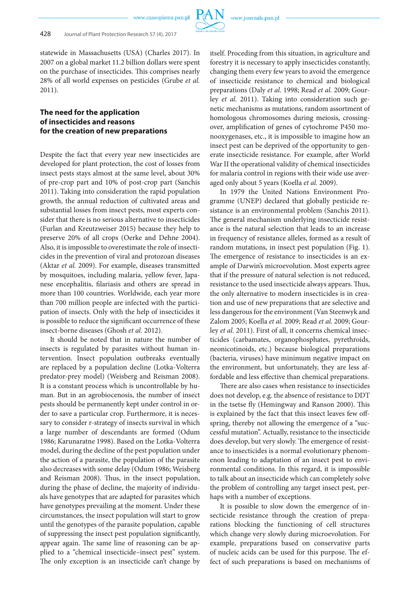

statewide in Massachusetts (USA) (Charles 2017). In 2007 on a global market 11.2 billion dollars were spent on the purchase of insecticides. This comprises nearly 28% of all world expenses on pesticides (Grube *et al.* 2011).

## **The need for the application of insecticides and reasons for the creation of new preparations**

Despite the fact that every year new insecticides are developed for plant protection, the cost of losses from insect pests stays almost at the same level, about 30% of pre-crop part and 10% of post-crop part (Sanchis 2011). Taking into consideration the rapid population growth, the annual reduction of cultivated areas and substantial losses from insect pests, most experts consider that there is no serious alternative to insecticides (Furlan and Kreutzweiser 2015) because they help to preserve 20% of all crops (Oerke and Dehne 2004). Also, it is impossible to overestimate the role of insecticides in the prevention of viral and protozoan diseases (Aktar *et al.* 2009). For example, diseases transmitted by mosquitoes, including malaria, yellow fever, Japanese encephalitis, filariasis and others are spread in more than 100 countries. Worldwide, each year more than 700 million people are infected with the participation of insects. Only with the help of insecticides it is possible to reduce the significant occurrence of these insect-borne diseases (Ghosh *et al.* 2012).

It should be noted that in nature the number of insects is regulated by parasites without human intervention. Insect population outbreaks eventually are replaced by a population decline (Lotka-Volterra predator-prey model) (Weisberg and Reisman 2008). It is a constant process which is uncontrollable by human. But in an agrobiocenosis, the number of insect pests should be permanently kept under control in order to save a particular crop. Furthermore, it is necessary to consider r-strategy of insects survival in which a large number of descendants are formed (Odum 1986; Karunaratne 1998). Based on the Lotka-Volterra model, during the decline of the pest population under the action of a parasite, the population of the parasite also decreases with some delay (Odum 1986; Weisberg and Reisman 2008). Thus, in the insect population, during the phase of decline, the majority of individuals have genotypes that are adapted for parasites which have genotypes prevailing at the moment. Under these circumstances, the insect population will start to grow until the genotypes of the parasite population, capable of suppressing the insect pest population significantly, appear again. The same line of reasoning can be applied to a "chemical insecticide–insect pest" system. The only exception is an insecticide can't change by

itself. Proceding from this situation, in agriculture and forestry it is necessary to apply insecticides constantly, changing them every few years to avoid the emergence of insecticide resistance to chemical and biological preparations (Daly *et al.* 1998; Read *et al.* 2009; Gourley *et al.* 2011). Taking into consideration such genetic mechanisms as mutations, random assortment of homologous chromosomes during meiosis, crossingover, amplification of genes of cytochrome P450 monooxygenases, etc., it is impossible to imagine how an insect pest can be deprived of the opportunity to generate insecticide resistance. For example, after World War II the operational validity of chemical insecticides for malaria control in regions with their wide use averaged only about 5 years (Koella *et al.* 2009).

In 1979 the United Nations Environment Programme (UNEP) declared that globally pesticide resistance is an environmental problem (Sanchis 2011). The general mechanism underlying insecticide resistance is the natural selection that leads to an increase in frequency of resistance alleles, formed as a result of random mutations, in insect pest population (Fig. 1). The emergence of resistance to insecticides is an example of Darwin's microevolution. Most experts agree that if the pressure of natural selection is not reduced, resistance to the used insecticide always appears. Thus, the only alternative to modern insecticides is in creation and use of new preparations that are selective and less dangerous for the environment (Van Steenwyk and Zalom 2005; Koella *et al.* 2009; Read *et al.* 2009; Gourley *et al.* 2011). First of all, it concerns chemical insecticides (carbamates, organophosphates, pyrethroids, neonicotinoids, etc.) because biological preparations (bacteria, viruses) have minimum negative impact on the environment, but unfortunately, they are less affordable and less effective than chemical preparations.

There are also cases when resistance to insecticides does not develop, e.g. the absence of resistance to DDT in the tsetse fly (Hemingway and Ranson 2000). This is explained by the fact that this insect leaves few offspring, thereby not allowing the emergence of a "successful mutation". Actually, resistance to the insecticide does develop, but very slowly. The emergence of resistance to insecticides is a normal evolutionary phenomenon leading to adaptation of an insect pest to environmental conditions. In this regard, it is impossible to talk about an insecticide which can completely solve the problem of controlling any target insect pest, perhaps with a number of exceptions.

It is possible to slow down the emergence of insecticide resistance through the creation of preparations blocking the functioning of cell structures which change very slowly during microevolution. For example, preparations based on conservative parts of nucleic acids can be used for this purpose. The effect of such preparations is based on mechanisms of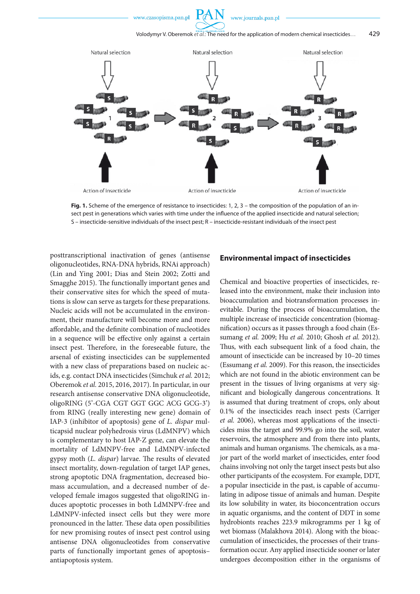www.czasopisma.pan.pl

www.journals.pan.pl



**Fig. 1.** Scheme of the emergence of resistance to insecticides: 1, 2, 3 – the composition of the population of an insect pest in generations which varies with time under the influence of the applied insecticide and natural selection; S – insecticide-sensitive individuals of the insect pest; R – insecticide-resistant individuals of the insect pest

posttranscriptional inactivation of genes (antisense oligonucleotides, RNA-DNA hybrids, RNAi approach) (Lin and Ying 2001; Dias and Stein 2002; Zotti and Smagghe 2015). The functionally important genes and their conservative sites for which the speed of mutations is slow can serve as targets for these preparations. Nucleic acids will not be accumulated in the environment, their manufacture will become more and more affordable, and the definite combination of nucleotides in a sequence will be effective only against a certain insect pest. Therefore, in the foreseeable future, the arsenal of existing insecticides can be supplemented with a new class of preparations based on nucleic acids, e.g. contact DNA insecticides (Simchuk *et al.* 2012; Oberemok *et al.* 2015, 2016, 2017). In particular, in our research antisense conservative DNA oligonucleotide, oligoRING (5'-CGA CGT GGT GGC ACG GCG-3') from RING (really interesting new gene) domain of IAP-3 (inhibitor of apoptosis) gene of *L. dispar* multicapsid nuclear polyhedrosis virus (LdMNPV) which is complementary to host IAP-Z gene, can elevate the mortality of LdMNPV-free and LdMNPV-infected gypsy moth (*L. dispar*) larvae. The results of elevated insect mortality, down-regulation of target IAP genes, strong apoptotic DNA fragmentation, decreased biomass accumulation, and a decreased number of developed female imagos suggested that oligoRING induces apoptotic processes in both LdMNPV-free and LdMNPV-infected insect cells but they were more pronounced in the latter. These data open possibilities for new promising routes of insect pest control using antisense DNA oligonucleotides from conservative parts of functionally important genes of apoptosis– antiapoptosis system.

### **Environmental impact of insecticides**

Chemical and bioactive properties of insecticides, released into the environment, make their inclusion into bioaccumulation and biotransformation processes inevitable. During the process of bioaccumulation, the multiple increase of insecticide concentration (biomagnification) occurs as it passes through a food chain (Essumang *et al.* 2009; Hu *et al.* 2010; Ghosh *et al.* 2012). Thus, with each subsequent link of a food chain, the amount of insecticide can be increased by 10–20 times (Essumang *et al.* 2009). For this reason, the insecticides which are not found in the abiotic environment can be present in the tissues of living organisms at very significant and biologically dangerous concentrations. It is assumed that during treatment of crops, only about 0.1% of the insecticides reach insect pests (Carriger *et al.* 2006), whereas most applications of the insecticides miss the target and 99.9% go into the soil, water reservoirs, the atmosphere and from there into plants, animals and human organisms. The chemicals, as a major part of the world market of insecticides, enter food chains involving not only the target insect pests but also other participants of the ecosystem. For example, DDT, a popular insecticide in the past, is capable of accumulating in adipose tissue of animals and human. Despite its low solubility in water, its bioconcentration occurs in aquatic organisms, and the content of DDT in some hydrobionts reaches 223.9 mikrogramms per 1 kg of wet biomass (Malakhova 2014). Along with the bioaccumulation of insecticides, the processes of their transformation occur. Any applied insecticide sooner or later undergoes decomposition either in the organisms of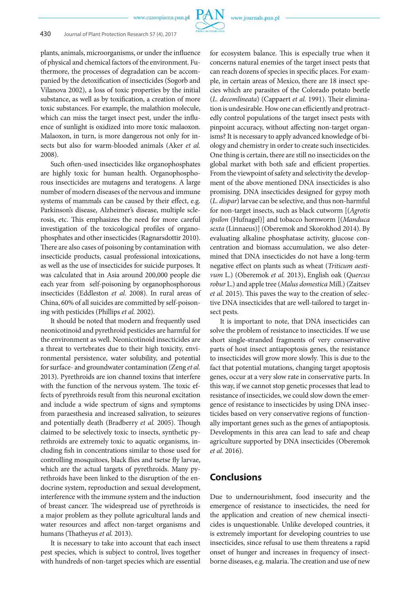www.czasopisma.pan.pl



plants, animals, microorganisms, or under the influence of physical and chemical factors of the environment. Futhermore, the processes of degradation can be accompanied by the detoxification of insecticides (Sogorb and Vilanova 2002), a loss of toxic properties by the initial substance, as well as by toxification, a creation of more toxic substances. For example, the malathion molecule, which can miss the target insect pest, under the influence of sunlight is oxidized into more toxic malaoxon. Malaoxon, in turn, is more dangerous not only for insects but also for warm-blooded animals (Aker *et al.* 2008).

Such often-used insecticides like organophosphates are highly toxic for human health. Organophosphorous insecticides are mutagens and teratogens. A large number of modern diseases of the nervous and immune systems of mammals can be caused by their effect, e.g. Parkinson's disease, Alzheimer's disease, multiple sclerosis, etc. This emphasizes the need for more careful investigation of the toxicological profiles of organophosphates and other insecticides (Ragnarsdottir 2010). There are also cases of poisoning by contamination with insecticide products, casual professional intoxications, as well as the use of insecticides for suicide purposes. It was calculated that in Asia around 200,000 people die each year from self-poisoning by organophosphorous insecticides (Eddleston *et al.* 2008). In rural areas of China, 60% of all suicides are committed by self-poisoning with pesticides (Phillips *et al.* 2002).

It should be noted that modern and frequently used neonicotinoid and pyrethroid pesticides are harmful for the environment as well. Neonicotinoid insecticides are a threat to vertebrates due to their high toxicity, environmental persistence, water solubility, and potential for surface- and groundwater contamination (Zeng *et al.* 2013). Pyrethroids are ion channel toxins that interfere with the function of the nervous system. The toxic effects of pyrethroids result from this neuronal excitation and include a wide spectrum of signs and symptoms from paraesthesia and increased salivation, to seizures and potentially death (Bradberry *et al.* 2005). Though claimed to be selectively toxic to insects, synthetic pyrethroids are extremely toxic to aquatic organisms, including fish in concentrations similar to those used for controlling mosquitoes, black flies and tsetse fly larvae, which are the actual targets of pyrethroids. Many pyrethroids have been linked to the disruption of the endocrine system, reproduction and sexual development, interference with the immune system and the induction of breast cancer. The widespread use of pyrethroids is a major problem as they pollute agricultural lands and water resources and affect non-target organisms and humans (Thatheyus *et al.* 2013).

It is necessary to take into account that each insect pest species, which is subject to control, lives together with hundreds of non-target species which are essential

for ecosystem balance. This is especially true when it concerns natural enemies of the target insect pests that can reach dozens of species in specific places. For example, in certain areas of Mexico, there are 18 insect species which are parasites of the Colorado potato beetle (*L. decemlineata*) (Cappaert *et al.* 1991). Their elimination is undesirable. How one can efficiently and protractedly control populations of the target insect pests with pinpoint accuracy, without affecting non-target organisms? It is necessary to apply advanced knowledge of biology and chemistry in order to create such insecticides. One thing is certain, there are still no insecticides on the global market with both safe and efficient properties. From the viewpoint of safety and selectivity the development of the above mentioned DNA insecticides is also promising. DNA insecticides designed for gypsy moth (*L. dispar*) larvae can be selective, and thus non-harmful for non-target insects, such as black cutworm [(*Agrotis ipsilon* (Hufnagel)] and tobacco hornworm [(*Manduca sexta* (Linnaeus)] (Oberemok and Skorokhod 2014). By evaluating alkaline phosphatase activity, glucose concentration and biomass accumulation, we also determined that DNA insecticides do not have a long-term negative effect on plants such as wheat (*Triticum aestivum* L.) (Oberemok *et al.* 2013), English oak (*Quercus robur* L.) and apple tree (*Malus domestica* Mill.) (Zaitsev *et al.* 2015). This paves the way to the creation of selective DNA insecticides that are well-tailored to target insect pests.

It is important to note, that DNA insecticides can solve the problem of resistance to insecticides. If we use short single-stranded fragments of very conservative parts of host insect antiapoptosis genes, the resistance to insecticides will grow more slowly. This is due to the fact that potential mutations, changing target apoptosis genes, occur at a very slow rate in conservative parts. In this way, if we cannot stop genetic processes that lead to resistance of insecticides, we could slow down the emergence of resistance to insecticides by using DNA insecticides based on very conservative regions of functionally important genes such as the genes of antiapoptosis. Developments in this area can lead to safe and cheap agriculture supported by DNA insecticides (Oberemok *et al.* 2016).

## **Conclusions**

Due to undernourishment, food insecurity and the emergence of resistance to insecticides, the need for the application and creation of new chemical insecticides is unquestionable. Unlike developed countries, it is extremely important for developing countries to use insecticides, since refusal to use them threatens a rapid onset of hunger and increases in frequency of insectborne diseases, e.g. malaria. The creation and use of new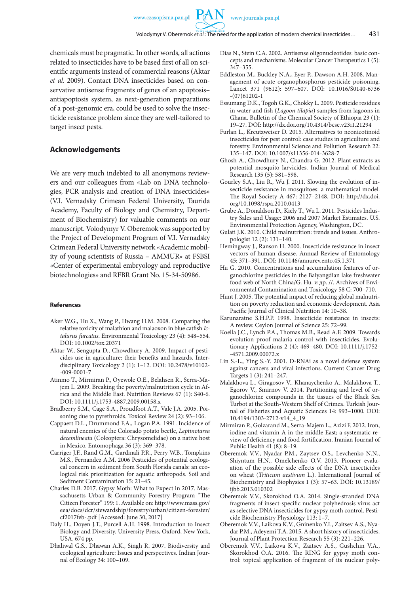chemicals must be pragmatic. In other words, all actions related to insecticides have to be based first of all on scientific arguments instead of commercial reasons (Aktar *et al*. 2009). Contact DNA insecticides based on conservative antisense fragments of genes of an apoptosis– antiapoptosis system, as next-generation preparations of a post-genomic era, could be used to solve the insecticide resistance problem since they are well-tailored to target insect pests.

#### **Acknowledgements**

We are very much indebted to all anonymous reviewers and our colleagues from «Lab on DNA technologies, PCR analysis and creation of DNA insecticides» (V.I. Vernadsky Crimean Federal University, Taurida Academy, Faculty of Biology and Chemistry, Department of Biochemistry) for valuable comments on our manuscript. Volodymyr V. Oberemok was supported by the Project of Development Program of V.I. Vernadsky Crimean Federal University network «Academic mobility of young scientists of Russia – AMMUR» at FSBSI «Center of experimental embryology and reproductive biotechnologies» and RFBR Grant No. 15-34-50986.

#### **References**

- Aker W.G., Hu X., Wang P., Hwang H.M. 2008. Comparing the relative toxicity of malathion and malaoxon in blue catfish *Ictalurus furcatus*. Environmental Toxicology 23 (4): 548–554. DOI: 10.1002/tox.20371
- Aktar W., Sengupta D., Chowdhury A. 2009. Impact of pesticides use in agriculture: their benefits and hazards. Interdisciplinary Toxicology 2 (1): 1–12. DOI: 10.2478/v10102- -009-0001-7
- Atinmo T., Mirmiran P., Oyewole O.E., Belahsen R., Serra-Majem L. 2009. Breaking the poverty/malnutrition cycle in Africa and the Middle East. Nutrition Reviews 67 (1): S40-6. DOI: 10.1111/j.1753-4887.2009.00158.x
- Bradberry S.M., Cage S.A., Proudfoot A.T., Vale J.A. 2005. Poisoning due to pyrethroids. Toxicol Review 24 (2): 93–106.
- Cappaert D.L., Drummond F.A., Logan P.A. 1991. Incidence of natural enemies of the Colorado potato beetle, *Leptinotarsa decemlineata* (Coleoptera: Chrysomelidae) on a native host in Mexico. Entomophaga 36 (3): 369–378.
- Carriger J.F., Rand G.M., Gardinali P.R., Perry W.B., Tompkins M.S., Fernandez A.M. 2006 Pesticides of potential ecological concern in sediment from South Florida canals: an ecological risk prioritization for aquatic arthropods. Soil and Sediment Contamination 15: 21–45.
- Charles D.B. 2017. Gypsy Moth: What to Expect in 2017. Massachusetts Urban & Community Forestry Program "The Citizen Forester" 199: 1. Available on: http://www.mass.gov/ eea/docs/dcr/stewardship/forestry/urban/citizen-forester/ cf2017feb-.pdf [Accessed: June 30, 2017]
- Daly H., Doyen J.T., Purcell A.H. 1998. Introduction to Insect Biology and Diversity. University Press, Oxford, New York, USA, 674 pp.
- Dhaliwal G.S., Dhawan A.K., Singh R. 2007. Biodiversity and ecological agriculture: Issues and perspectives. Indian Journal of Ecology 34: 100–109.
- Dias N., Stein C.A. 2002. Antisense oligonucleotides: basic concepts and mechanisms. Molecular Cancer Therapeutics 1 (5): 347–355.
- Eddleston M., Buckley N.A., Eyer P., Dawson A.H. 2008. Management of acute organophosphorus pesticide poisoning. Lancet 371 (9612): 597–607. DOI: 10.1016/S0140-6736 -(07)61202-1
- Essumang D.K., Togoh G.K., Chokky L. 2009. Pesticide residues in water and fish (*Lagoon tilapia*) samples from lagoons in Ghana. Bulletin of the Chemical Society of Ethiopia 23 (1): 19–27. DOI: http://dx.doi.org/10.4314/bcse.v23i1.21294
- Furlan L., Kreutzweiser D. 2015. Alternatives to neonicotinoid insecticides for pest control: case studies in agriculture and forestry. Environmental Science and Pollution Research 22: 135–147. DOI: 10.1007/s11356-014-3628-7
- Ghosh A., Chowdhury N., Chandra G. 2012. Plant extracts as potential mosquito larvicides. Indian Journal of Medical Research 135 (5): 581–598.
- Gourley S.A., Liu R., Wu J. 2011. Slowing the evolution of insecticide resistance in mosquitoes: a mathematical model. The Royal Society A 467: 2127–2148. DOI: http://dx.doi. org/10.1098/rspa.2010.0413
- Grube A., Donaldson D., Kiely T., Wu L. 2011. Pesticides Industry Sales and Usage: 2006 and 2007 Market Estimates. U.S. Environmental Protection Agency, Washington, DC.
- Gulati J.K. 2010. Child malnutrition: trends and issues. Anthropologist 12 (2): 131–140.
- Hemingway J., Ranson H. 2000. Insecticide resistance in insect vectors of human disease. Annual Review of Entomology 45: 371–391. DOI: 10.1146/annurev.ento.45.1.371
- Hu G. 2010. Concentrations and accumulation features of organochlorine pesticides in the Baiyangdian lake freshwater food web of North China/G. Hu. и др. //. Archives of Environmental Contamination and Toxicology 58 С: 700–710.
- Hunt J. 2005. The potential impact of reducing global malnutrition on poverty reduction and economic development. Asia Pacific Journal of Clinical Nutrition 14: 10–38.
- Karunaratne S.H.P.P. 1998. Insecticide resistance in insects: A review. Ceylon Journal of Science 25: 72–99.
- Koella J.C., Lynch P.A., Thomas M.B., Read A.F. 2009. Towards evolution proof malaria control with insecticides. Evolutionary Applications 2 (4): 469–480. DOI: 10.1111/j.1752- -4571.2009.00072.x
- Lin S.-L., Ying S.-Y. 2001. D-RNAi as a novel defense system against cancers and viral infections. Current Cancer Drug Targets 1 (3): 241–247.
- Malakhova L., Giragosov V., Khanaychenko A., Malakhova T., Egorov V., Smirnov V. 2014. Partitioning and level of organochlorine compounds in the tissues of the Black Sea Turbot at the South-Western Shelf of Crimea. Turkish Journal of Fisheries and Aquatic Sciences 14: 993–1000. DOI: 10.4194/1303-2712-v14\_4\_19
- Mirmiran P., Golzarand M., Serra-Majem L., Azizi F. 2012. Iron, iodine and vitamin A in the middle East; a systematic review of deficiency and food fortification. Iranian Journal of Public Health 41 (8): 8–19.
- Oberemok V.V., Nyadar P.M., Zaytsev O.S., Levchenko N.N., Shiyntum H.N., Omelchenko O.V. 2013. Pioneer evaluation of the possible side effects of the DNA insecticides on wheat (*Triticum aestivum* L.). International Journal of Biochemistry and Biophysics 1 (3): 57–63. DOI: 10.13189/ ijbb.2013.010302
- Oberemok V.V., Skorokhod O.A. 2014. Single-stranded DNA fragments of insect-specific nuclear polyhedrosis virus act as selective DNA insecticides for gypsy moth control. Pesticide Biochemistry Physiology 113: 1–7.
- Oberemok V.V., Laikova K.V., Gninenko Y.I., Zaitsev A.S., Nyadar P.M., Adeyemi T.A. 2015. A short history of insecticides. Journal of Plant Protection Research 55 (3): 221–226.
- Oberemok V.V., Laikova K.V., Zaitsev A.S., Gushchin V.A., Skorokhod O.A. 2016. The RING for gypsy moth control: topical application of fragment of its nuclear poly-